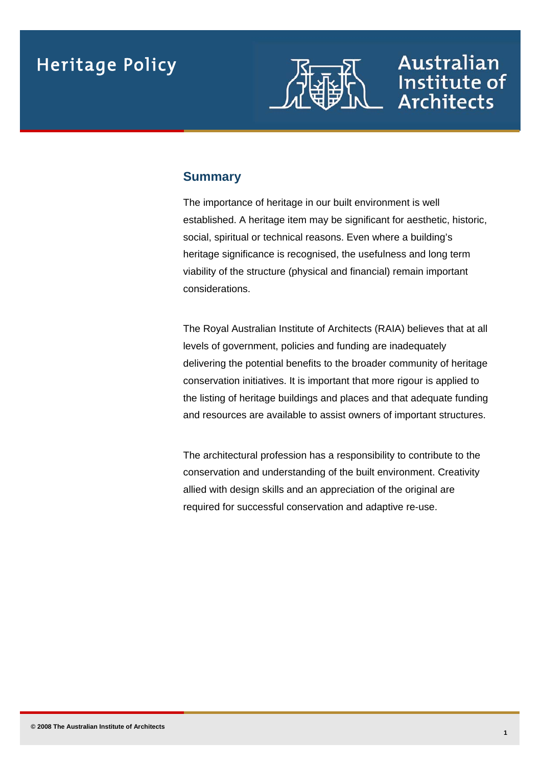

Australian

Institute of

**Architects** 

### **Summary**

The importance of heritage in our built environment is well established. A heritage item may be significant for aesthetic, historic, social, spiritual or technical reasons. Even where a building's heritage significance is recognised, the usefulness and long term viability of the structure (physical and financial) remain important considerations.

The Royal Australian Institute of Architects (RAIA) believes that at all levels of government, policies and funding are inadequately delivering the potential benefits to the broader community of heritage conservation initiatives. It is important that more rigour is applied to the listing of heritage buildings and places and that adequate funding and resources are available to assist owners of important structures.

The architectural profession has a responsibility to contribute to the conservation and understanding of the built environment. Creativity allied with design skills and an appreciation of the original are required for successful conservation and adaptive re-use.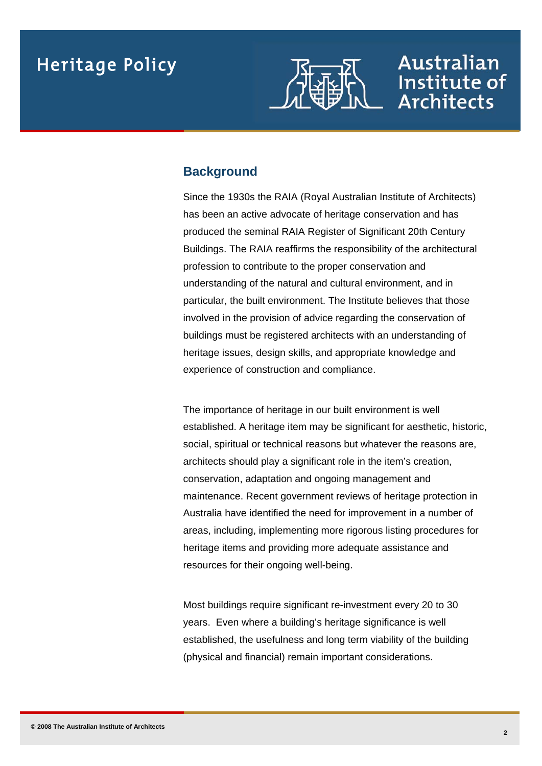

### Australian Institute of **Architects**

### **Background**

Since the 1930s the RAIA (Royal Australian Institute of Architects) has been an active advocate of heritage conservation and has produced the seminal RAIA Register of Significant 20th Century Buildings. The RAIA reaffirms the responsibility of the architectural profession to contribute to the proper conservation and understanding of the natural and cultural environment, and in particular, the built environment. The Institute believes that those involved in the provision of advice regarding the conservation of buildings must be registered architects with an understanding of heritage issues, design skills, and appropriate knowledge and experience of construction and compliance.

The importance of heritage in our built environment is well established. A heritage item may be significant for aesthetic, historic, social, spiritual or technical reasons but whatever the reasons are, architects should play a significant role in the item's creation, conservation, adaptation and ongoing management and maintenance. Recent government reviews of heritage protection in Australia have identified the need for improvement in a number of areas, including, implementing more rigorous listing procedures for heritage items and providing more adequate assistance and resources for their ongoing well-being.

Most buildings require significant re-investment every 20 to 30 years. Even where a building's heritage significance is well established, the usefulness and long term viability of the building (physical and financial) remain important considerations.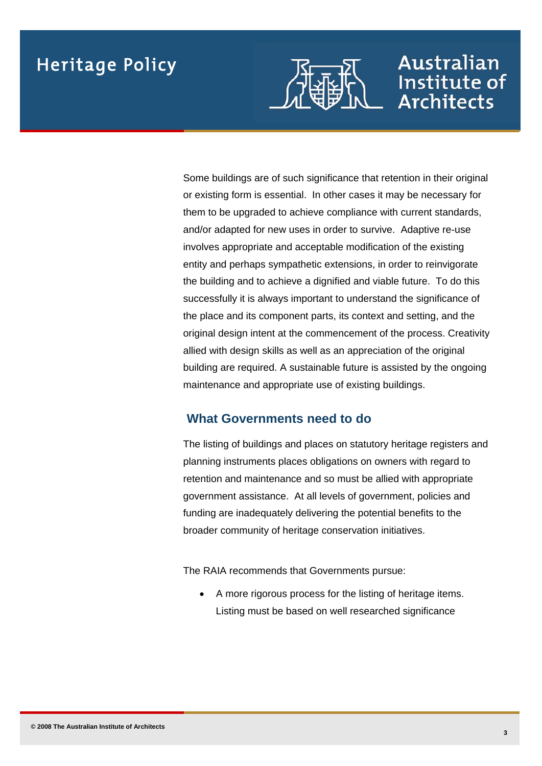

### Australian Institute of **Architects**

Some buildings are of such significance that retention in their original or existing form is essential. In other cases it may be necessary for them to be upgraded to achieve compliance with current standards, and/or adapted for new uses in order to survive. Adaptive re-use involves appropriate and acceptable modification of the existing entity and perhaps sympathetic extensions, in order to reinvigorate the building and to achieve a dignified and viable future. To do this successfully it is always important to understand the significance of the place and its component parts, its context and setting, and the original design intent at the commencement of the process. Creativity allied with design skills as well as an appreciation of the original building are required. A sustainable future is assisted by the ongoing maintenance and appropriate use of existing buildings.

### **What Governments need to do**

The listing of buildings and places on statutory heritage registers and planning instruments places obligations on owners with regard to retention and maintenance and so must be allied with appropriate government assistance. At all levels of government, policies and funding are inadequately delivering the potential benefits to the broader community of heritage conservation initiatives.

The RAIA recommends that Governments pursue:

 A more rigorous process for the listing of heritage items. Listing must be based on well researched significance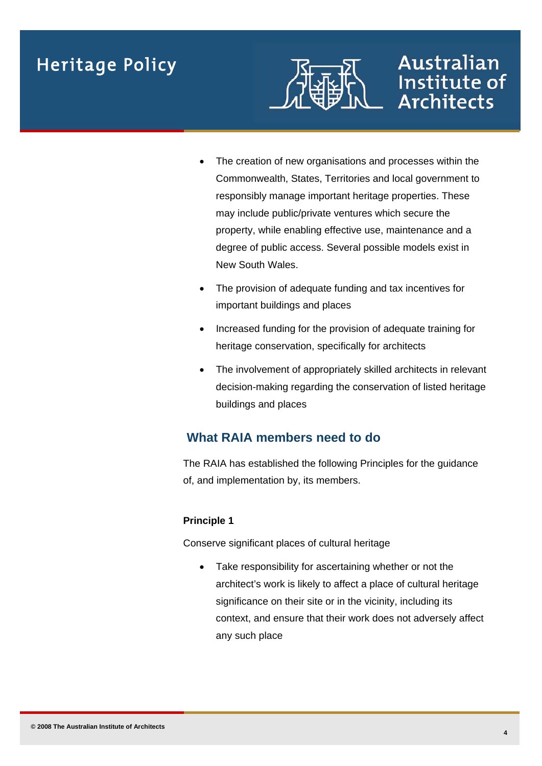

## Australian Institute of **Architects**

- The creation of new organisations and processes within the Commonwealth, States, Territories and local government to responsibly manage important heritage properties. These may include public/private ventures which secure the property, while enabling effective use, maintenance and a degree of public access. Several possible models exist in New South Wales.
- The provision of adequate funding and tax incentives for important buildings and places
- Increased funding for the provision of adequate training for heritage conservation, specifically for architects
- The involvement of appropriately skilled architects in relevant decision-making regarding the conservation of listed heritage buildings and places

### **What RAIA members need to do**

The RAIA has established the following Principles for the guidance of, and implementation by, its members.

#### **Principle 1**

Conserve significant places of cultural heritage

• Take responsibility for ascertaining whether or not the architect's work is likely to affect a place of cultural heritage significance on their site or in the vicinity, including its context, and ensure that their work does not adversely affect any such place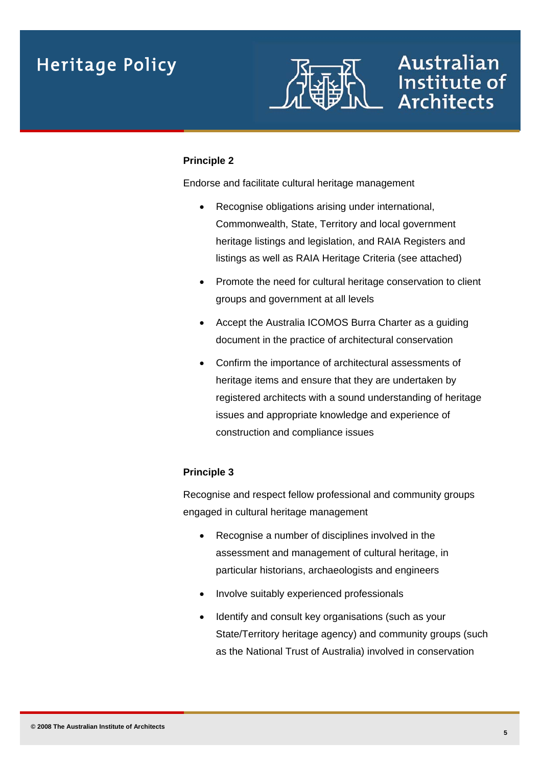

### Australian Institute of **Architects**

#### **Principle 2**

Endorse and facilitate cultural heritage management

- Recognise obligations arising under international, Commonwealth, State, Territory and local government heritage listings and legislation, and RAIA Registers and listings as well as RAIA Heritage Criteria (see attached)
- Promote the need for cultural heritage conservation to client groups and government at all levels
- Accept the Australia ICOMOS Burra Charter as a guiding document in the practice of architectural conservation
- Confirm the importance of architectural assessments of heritage items and ensure that they are undertaken by registered architects with a sound understanding of heritage issues and appropriate knowledge and experience of construction and compliance issues

#### **Principle 3**

Recognise and respect fellow professional and community groups engaged in cultural heritage management

- Recognise a number of disciplines involved in the assessment and management of cultural heritage, in particular historians, archaeologists and engineers
- Involve suitably experienced professionals
- Identify and consult key organisations (such as your State/Territory heritage agency) and community groups (such as the National Trust of Australia) involved in conservation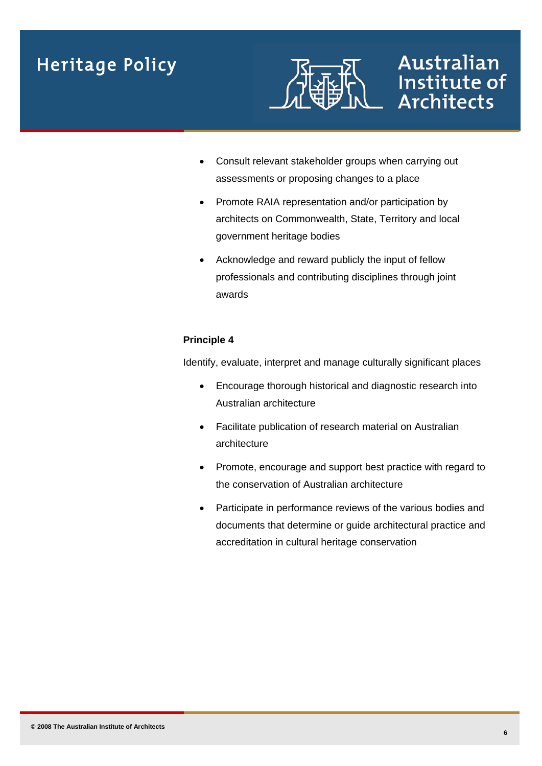

## Australian Institute of **Architects**

- Consult relevant stakeholder groups when carrying out assessments or proposing changes to a place
- Promote RAIA representation and/or participation by architects on Commonwealth, State, Territory and local government heritage bodies
- Acknowledge and reward publicly the input of fellow professionals and contributing disciplines through joint awards

#### **Principle 4**

Identify, evaluate, interpret and manage culturally significant places

- Encourage thorough historical and diagnostic research into Australian architecture
- Facilitate publication of research material on Australian architecture
- Promote, encourage and support best practice with regard to the conservation of Australian architecture
- Participate in performance reviews of the various bodies and documents that determine or guide architectural practice and accreditation in cultural heritage conservation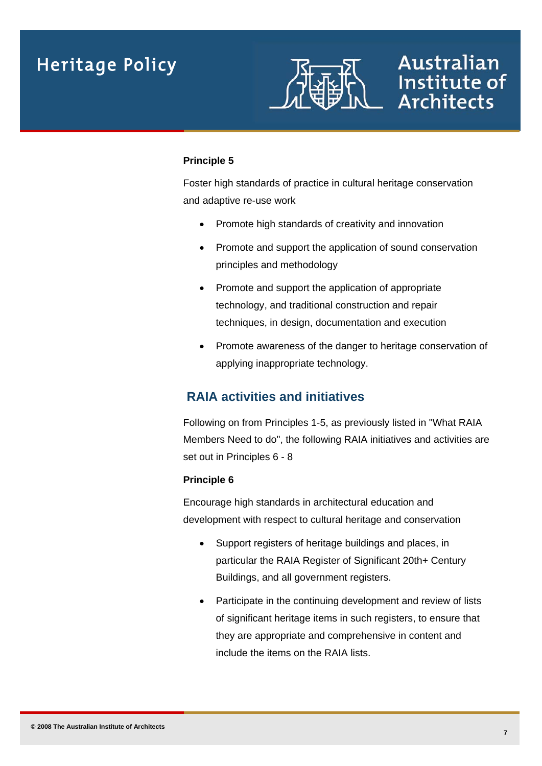

### Australian Institute of **Architects**

#### **Principle 5**

Foster high standards of practice in cultural heritage conservation and adaptive re-use work

- Promote high standards of creativity and innovation
- Promote and support the application of sound conservation principles and methodology
- Promote and support the application of appropriate technology, and traditional construction and repair techniques, in design, documentation and execution
- Promote awareness of the danger to heritage conservation of applying inappropriate technology.

### **RAIA activities and initiatives**

Following on from Principles 1-5, as previously listed in "What RAIA Members Need to do", the following RAIA initiatives and activities are set out in Principles 6 - 8

#### **Principle 6**

Encourage high standards in architectural education and development with respect to cultural heritage and conservation

- Support registers of heritage buildings and places, in particular the RAIA Register of Significant 20th+ Century Buildings, and all government registers.
- Participate in the continuing development and review of lists of significant heritage items in such registers, to ensure that they are appropriate and comprehensive in content and include the items on the RAIA lists.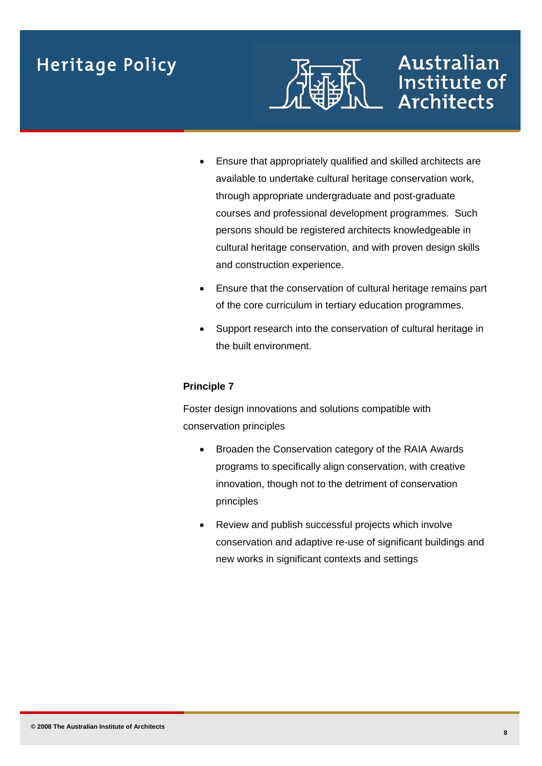

## Australian Institute of **Architects**

- Ensure that appropriately qualified and skilled architects are available to undertake cultural heritage conservation work, through appropriate undergraduate and post-graduate courses and professional development programmes. Such persons should be registered architects knowledgeable in cultural heritage conservation, and with proven design skills and construction experience.
- Ensure that the conservation of cultural heritage remains part of the core curriculum in tertiary education programmes.
- Support research into the conservation of cultural heritage in the built environment.

#### **Principle 7**

Foster design innovations and solutions compatible with conservation principles

- Broaden the Conservation category of the RAIA Awards programs to specifically align conservation, with creative innovation, though not to the detriment of conservation principles
- Review and publish successful projects which involve conservation and adaptive re-use of significant buildings and new works in significant contexts and settings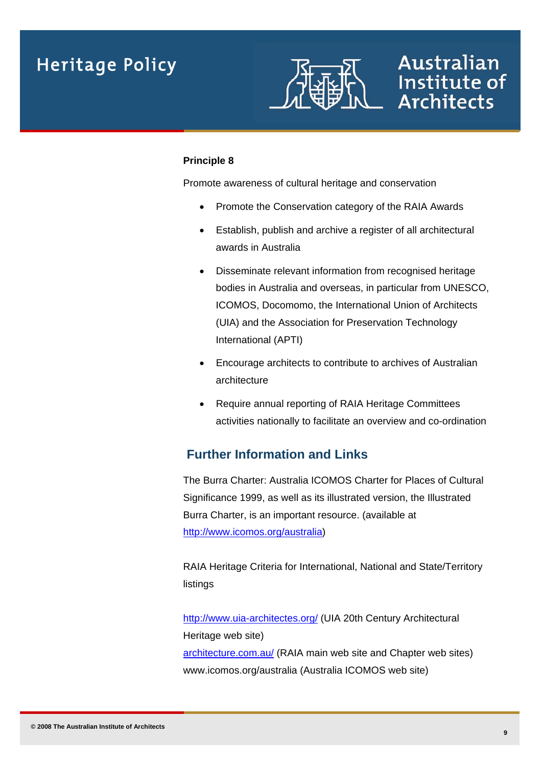

### Australian Institute of **Architects**

#### **Principle 8**

Promote awareness of cultural heritage and conservation

- Promote the Conservation category of the RAIA Awards
- Establish, publish and archive a register of all architectural awards in Australia
- Disseminate relevant information from recognised heritage bodies in Australia and overseas, in particular from UNESCO, ICOMOS, Docomomo, the International Union of Architects (UIA) and the Association for Preservation Technology International (APTI)
- Encourage architects to contribute to archives of Australian architecture
- Require annual reporting of RAIA Heritage Committees activities nationally to facilitate an overview and co-ordination

### **Further Information and Links**

The Burra Charter: Australia ICOMOS Charter for Places of Cultural Significance 1999, as well as its illustrated version, the Illustrated Burra Charter, is an important resource. (available at <http://www.icomos.org/australia>)

RAIA Heritage Criteria for [International,](http://www.architecture.com.au/policy/media/RAIA_INTERNATIONAL_HERITAGE_CRITERIA_2005.pdf) [National](http://www.architecture.com.au/policy/media/RAIA_NATIONAL_HERITAGE_CRITERIA_2005.pdf) and [State/Territory](http://www.architecture.com.au/policy/media/RAIA_State_Territory_Heritage_Criteria_2005.pdf) listings

<http://www.uia-architectes.org/> (UIA 20th Century Architectural Heritage web site) [architecture.com.au/](http://www.architecture.com.au/) (RAIA main web site and Chapter web sites) [www.icomos.org/australia](http://www.icomos.org/australia) (Australia ICOMOS web site)